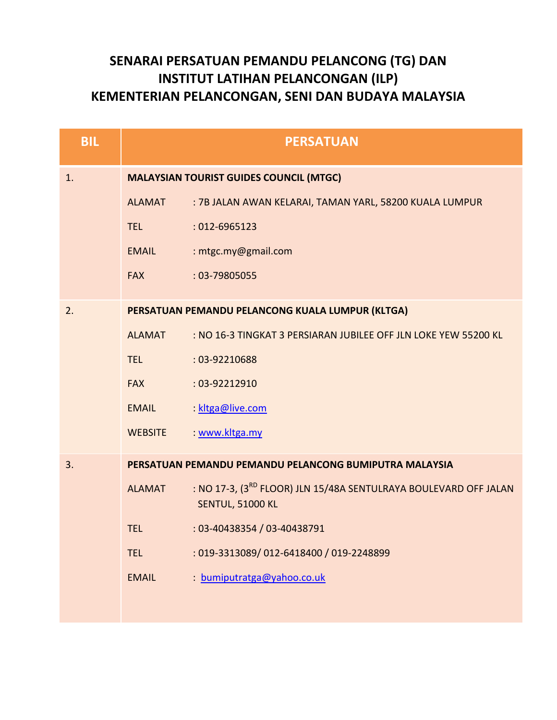## **SENARAI PERSATUAN PEMANDU PELANCONG (TG) DAN INSTITUT LATIHAN PELANCONGAN (ILP) KEMENTERIAN PELANCONGAN, SENI DAN BUDAYA MALAYSIA**

| <b>BIL</b> |                | <b>PERSATUAN</b>                                                                                        |
|------------|----------------|---------------------------------------------------------------------------------------------------------|
| 1.         |                | <b>MALAYSIAN TOURIST GUIDES COUNCIL (MTGC)</b>                                                          |
|            | <b>ALAMAT</b>  | : 7B JALAN AWAN KELARAI, TAMAN YARL, 58200 KUALA LUMPUR                                                 |
|            | <b>TEL</b>     | $:012-6965123$                                                                                          |
|            | <b>EMAIL</b>   | : mtgc.my@gmail.com                                                                                     |
|            | <b>FAX</b>     | : 03-79805055                                                                                           |
| 2.         |                | PERSATUAN PEMANDU PELANCONG KUALA LUMPUR (KLTGA)                                                        |
|            | <b>ALAMAT</b>  | : NO 16-3 TINGKAT 3 PERSIARAN JUBILEE OFF JLN LOKE YEW 55200 KL                                         |
|            | <b>TEL</b>     | : 03-92210688                                                                                           |
|            | <b>FAX</b>     | : 03-92212910                                                                                           |
|            | <b>EMAIL</b>   | kltga@live.com                                                                                          |
|            | <b>WEBSITE</b> | www.kltga.my                                                                                            |
| 3.         |                | PERSATUAN PEMANDU PEMANDU PELANCONG BUMIPUTRA MALAYSIA                                                  |
|            | <b>ALAMAT</b>  | : NO 17-3, (3 <sup>RD</sup> FLOOR) JLN 15/48A SENTULRAYA BOULEVARD OFF JALAN<br><b>SENTUL, 51000 KL</b> |
|            | <b>TEL</b>     | : 03-40438354 / 03-40438791                                                                             |
|            | <b>TEL</b>     | : 019-3313089/012-6418400 / 019-2248899                                                                 |
|            | <b>EMAIL</b>   | : bumiputratga@yahoo.co.uk                                                                              |
|            |                |                                                                                                         |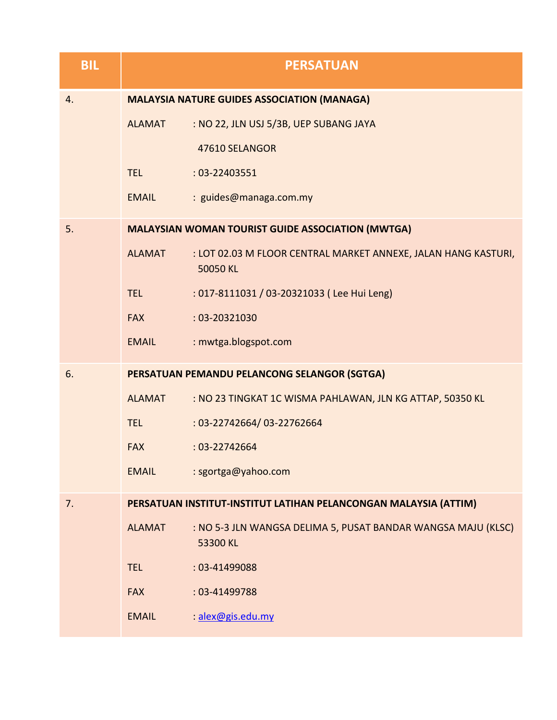| <b>BIL</b> |               | <b>PERSATUAN</b>                                                           |
|------------|---------------|----------------------------------------------------------------------------|
| 4.         |               | <b>MALAYSIA NATURE GUIDES ASSOCIATION (MANAGA)</b>                         |
|            | <b>ALAMAT</b> | : NO 22, JLN USJ 5/3B, UEP SUBANG JAYA                                     |
|            |               | 47610 SELANGOR                                                             |
|            | <b>TEL</b>    | $: 03 - 22403551$                                                          |
|            | <b>EMAIL</b>  | : guides@managa.com.my                                                     |
| 5.         |               | <b>MALAYSIAN WOMAN TOURIST GUIDE ASSOCIATION (MWTGA)</b>                   |
|            | <b>ALAMAT</b> | : LOT 02.03 M FLOOR CENTRAL MARKET ANNEXE, JALAN HANG KASTURI,<br>50050 KL |
|            | <b>TEL</b>    | : 017-8111031 / 03-20321033 (Lee Hui Leng)                                 |
|            | <b>FAX</b>    | $: 03 - 20321030$                                                          |
|            | <b>EMAIL</b>  | : mwtga.blogspot.com                                                       |
| 6.         |               | PERSATUAN PEMANDU PELANCONG SELANGOR (SGTGA)                               |
|            | <b>ALAMAT</b> | : NO 23 TINGKAT 1C WISMA PAHLAWAN, JLN KG ATTAP, 50350 KL                  |
|            | <b>TEL</b>    | : 03-22742664/03-22762664                                                  |
|            | <b>FAX</b>    | $: 03 - 22742664$                                                          |
|            | <b>EMAIL</b>  | : sgortga@yahoo.com                                                        |
| 7.         |               | PERSATUAN INSTITUT-INSTITUT LATIHAN PELANCONGAN MALAYSIA (ATTIM)           |
|            | <b>ALAMAT</b> | : NO 5-3 JLN WANGSA DELIMA 5, PUSAT BANDAR WANGSA MAJU (KLSC)<br>53300 KL  |
|            | <b>TEL</b>    | : 03-41499088                                                              |
|            | <b>FAX</b>    | : 03-41499788                                                              |
|            | <b>EMAIL</b>  | alex@gis.edu.my                                                            |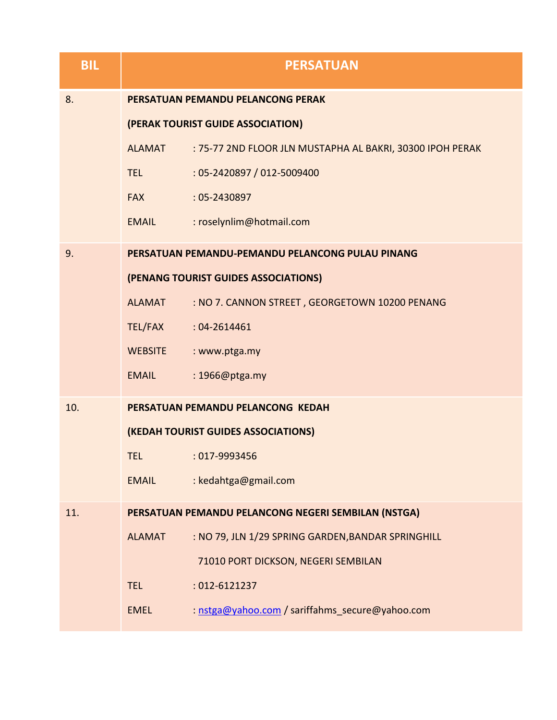| <b>BIL</b> |                | <b>PERSATUAN</b>                                          |
|------------|----------------|-----------------------------------------------------------|
| 8.         |                | PERSATUAN PEMANDU PELANCONG PERAK                         |
|            |                | (PERAK TOURIST GUIDE ASSOCIATION)                         |
|            | <b>ALAMAT</b>  | : 75-77 2ND FLOOR JLN MUSTAPHA AL BAKRI, 30300 IPOH PERAK |
|            | <b>TEL</b>     | : 05-2420897 / 012-5009400                                |
|            | <b>FAX</b>     | $: 05 - 2430897$                                          |
|            | <b>EMAIL</b>   | : roselynlim@hotmail.com                                  |
| 9.         |                | PERSATUAN PEMANDU-PEMANDU PELANCONG PULAU PINANG          |
|            |                | (PENANG TOURIST GUIDES ASSOCIATIONS)                      |
|            | <b>ALAMAT</b>  | : NO 7. CANNON STREET, GEORGETOWN 10200 PENANG            |
|            | TEL/FAX        | $: 04 - 2614461$                                          |
|            | <b>WEBSITE</b> | : www.ptga.my                                             |
|            | <b>EMAIL</b>   | : 1966@ptga.my                                            |
| 10.        |                | PERSATUAN PEMANDU PELANCONG KEDAH                         |
|            |                | (KEDAH TOURIST GUIDES ASSOCIATIONS)                       |
|            | TEL.           | $:017-9993456$                                            |
|            | <b>EMAIL</b>   | : kedahtga@gmail.com                                      |
| 11.        |                | PERSATUAN PEMANDU PELANCONG NEGERI SEMBILAN (NSTGA)       |
|            | <b>ALAMAT</b>  | : NO 79, JLN 1/29 SPRING GARDEN, BANDAR SPRINGHILL        |
|            |                | 71010 PORT DICKSON, NEGERI SEMBILAN                       |
|            | <b>TEL</b>     | : 012-6121237                                             |
|            | <b>EMEL</b>    | : nstga@yahoo.com / sariffahms_secure@yahoo.com           |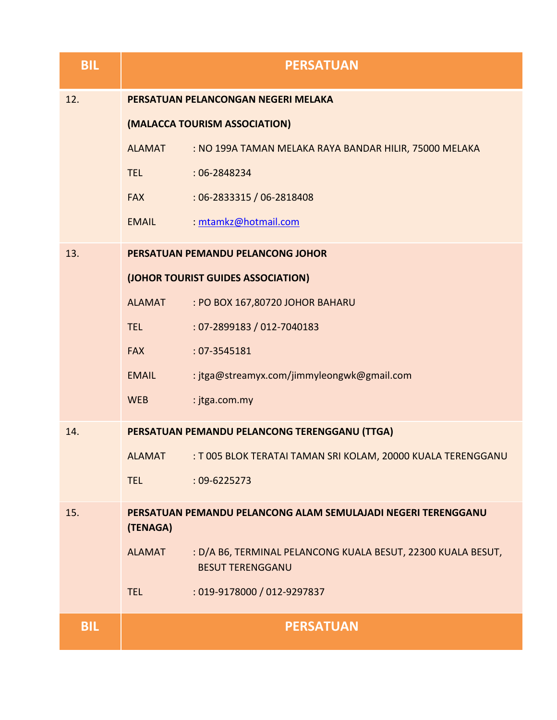| <b>BIL</b> |               | <b>PERSATUAN</b>                                                                        |
|------------|---------------|-----------------------------------------------------------------------------------------|
| 12.        |               | PERSATUAN PELANCONGAN NEGERI MELAKA                                                     |
|            |               | (MALACCA TOURISM ASSOCIATION)                                                           |
|            | <b>ALAMAT</b> | : NO 199A TAMAN MELAKA RAYA BANDAR HILIR, 75000 MELAKA                                  |
|            | <b>TEL</b>    | $:06 - 2848234$                                                                         |
|            | <b>FAX</b>    | : 06-2833315 / 06-2818408                                                               |
|            | <b>EMAIL</b>  | : mtamkz@hotmail.com                                                                    |
| 13.        |               | PERSATUAN PEMANDU PELANCONG JOHOR                                                       |
|            |               | (JOHOR TOURIST GUIDES ASSOCIATION)                                                      |
|            | <b>ALAMAT</b> | : PO BOX 167,80720 JOHOR BAHARU                                                         |
|            | <b>TEL</b>    | : 07-2899183 / 012-7040183                                                              |
|            | <b>FAX</b>    | : 07-3545181                                                                            |
|            | <b>EMAIL</b>  | : jtga@streamyx.com/jimmyleongwk@gmail.com                                              |
|            | <b>WEB</b>    | : jtga.com.my                                                                           |
| 14.        |               | PERSATUAN PEMANDU PELANCONG TERENGGANU (TTGA)                                           |
|            | <b>ALAMAT</b> | : T 005 BLOK TERATAI TAMAN SRI KOLAM, 20000 KUALA TERENGGANU                            |
|            | <b>TEL</b>    | $:09 - 6225273$                                                                         |
| 15.        | (TENAGA)      | PERSATUAN PEMANDU PELANCONG ALAM SEMULAJADI NEGERI TERENGGANU                           |
|            | <b>ALAMAT</b> | : D/A B6, TERMINAL PELANCONG KUALA BESUT, 22300 KUALA BESUT,<br><b>BESUT TERENGGANU</b> |
|            | <b>TEL</b>    | : 019-9178000 / 012-9297837                                                             |
| <b>BIL</b> |               | <b>PERSATUAN</b>                                                                        |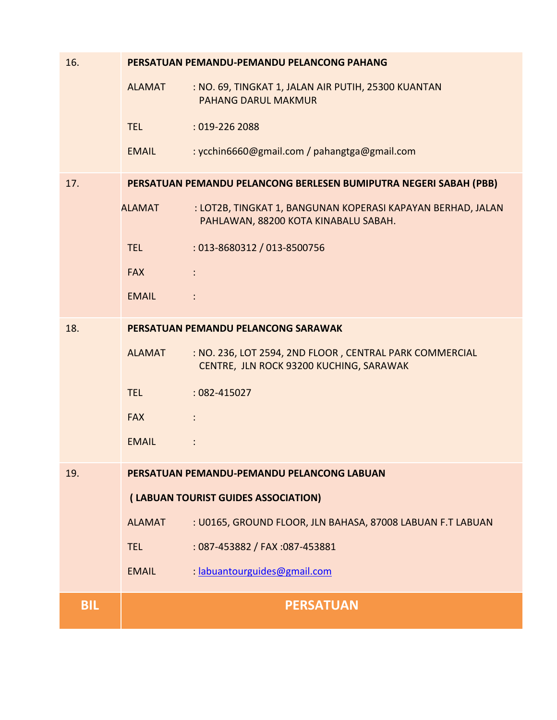| 16.        |               | PERSATUAN PEMANDU-PEMANDU PELANCONG PAHANG                                                          |
|------------|---------------|-----------------------------------------------------------------------------------------------------|
|            | <b>ALAMAT</b> | : NO. 69, TINGKAT 1, JALAN AIR PUTIH, 25300 KUANTAN<br><b>PAHANG DARUL MAKMUR</b>                   |
|            | <b>TEL</b>    | : 019-226 2088                                                                                      |
|            | <b>EMAIL</b>  | : ycchin6660@gmail.com / pahangtga@gmail.com                                                        |
| 17.        |               | PERSATUAN PEMANDU PELANCONG BERLESEN BUMIPUTRA NEGERI SABAH (PBB)                                   |
|            | <b>ALAMAT</b> | : LOT2B, TINGKAT 1, BANGUNAN KOPERASI KAPAYAN BERHAD, JALAN<br>PAHLAWAN, 88200 KOTA KINABALU SABAH. |
|            | <b>TEL</b>    | : 013-8680312 / 013-8500756                                                                         |
|            | <b>FAX</b>    |                                                                                                     |
|            | <b>EMAIL</b>  |                                                                                                     |
| 18.        |               | PERSATUAN PEMANDU PELANCONG SARAWAK                                                                 |
|            | <b>ALAMAT</b> | : NO. 236, LOT 2594, 2ND FLOOR, CENTRAL PARK COMMERCIAL<br>CENTRE, JLN ROCK 93200 KUCHING, SARAWAK  |
|            | <b>TEL</b>    | $:082 - 415027$                                                                                     |
|            | <b>FAX</b>    | $\ddot{\phantom{a}}$                                                                                |
|            | <b>EMAIL</b>  |                                                                                                     |
| 19.        |               | PERSATUAN PEMANDU-PEMANDU PELANCONG LABUAN                                                          |
|            |               | (LABUAN TOURIST GUIDES ASSOCIATION)                                                                 |
|            | <b>ALAMAT</b> | : U0165, GROUND FLOOR, JLN BAHASA, 87008 LABUAN F.T LABUAN                                          |
|            | <b>TEL</b>    | : 087-453882 / FAX : 087-453881                                                                     |
|            | <b>EMAIL</b>  | : labuantourguides@gmail.com                                                                        |
| <b>BIL</b> |               | <b>PERSATUAN</b>                                                                                    |